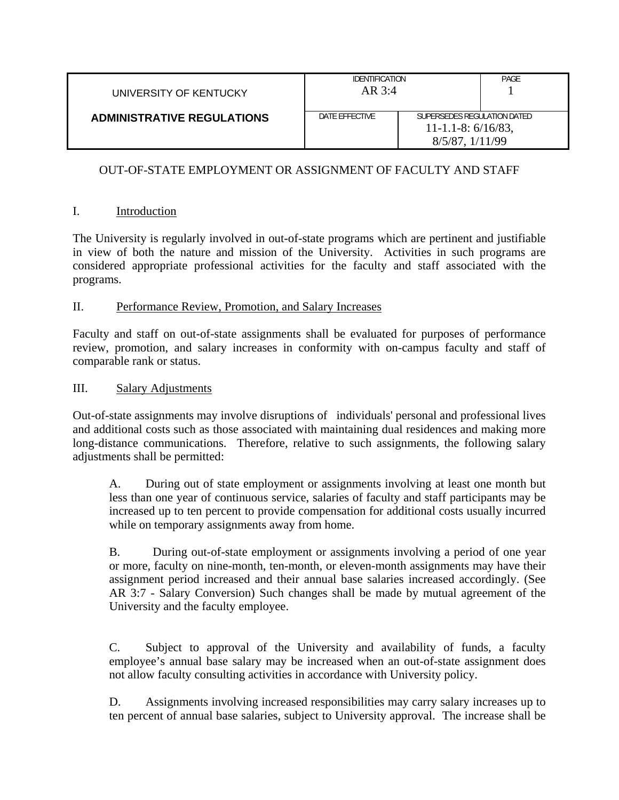| UNIVERSITY OF KENTUCKY            | <b>IDENTIFICATION</b><br>$AR$ 3:4 |  | PAGE                                                                        |  |
|-----------------------------------|-----------------------------------|--|-----------------------------------------------------------------------------|--|
| <b>ADMINISTRATIVE REGULATIONS</b> | DATE EFFECTIVE                    |  | SUPERSEDES REGULATION DATED<br>$11 - 1.1 - 8: 6/16/83$ ,<br>8/5/87, 1/11/99 |  |

# OUT-OF-STATE EMPLOYMENT OR ASSIGNMENT OF FACULTY AND STAFF

## I. Introduction

The University is regularly involved in out-of-state programs which are pertinent and justifiable in view of both the nature and mission of the University. Activities in such programs are considered appropriate professional activities for the faculty and staff associated with the programs.

#### II. Performance Review, Promotion, and Salary Increases

Faculty and staff on out-of-state assignments shall be evaluated for purposes of performance review, promotion, and salary increases in conformity with on-campus faculty and staff of comparable rank or status.

#### III. Salary Adjustments

Out-of-state assignments may involve disruptions of individuals' personal and professional lives and additional costs such as those associated with maintaining dual residences and making more long-distance communications. Therefore, relative to such assignments, the following salary adjustments shall be permitted:

A. During out of state employment or assignments involving at least one month but less than one year of continuous service, salaries of faculty and staff participants may be increased up to ten percent to provide compensation for additional costs usually incurred while on temporary assignments away from home.

B. During out-of-state employment or assignments involving a period of one year or more, faculty on nine-month, ten-month, or eleven-month assignments may have their assignment period increased and their annual base salaries increased accordingly. (See AR 3:7 - Salary Conversion) Such changes shall be made by mutual agreement of the University and the faculty employee.

C. Subject to approval of the University and availability of funds, a faculty employee's annual base salary may be increased when an out-of-state assignment does not allow faculty consulting activities in accordance with University policy.

D. Assignments involving increased responsibilities may carry salary increases up to ten percent of annual base salaries, subject to University approval. The increase shall be